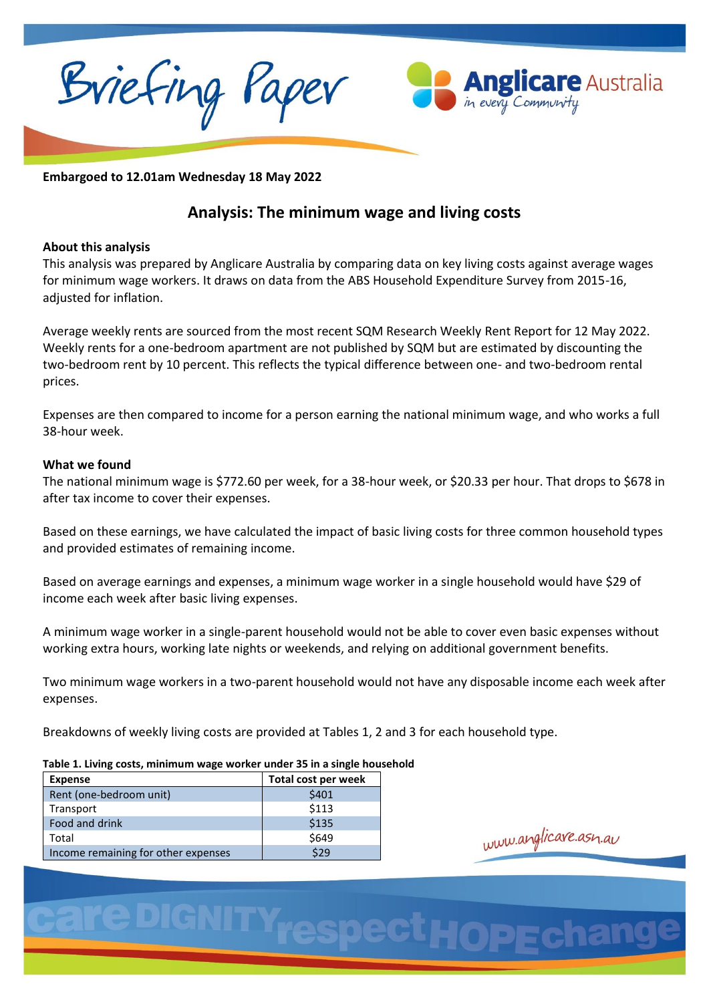Briefing Paper



**Embargoed to 12.01am Wednesday 18 May 2022**

# **Analysis: The minimum wage and living costs**

# **About this analysis**

This analysis was prepared by Anglicare Australia by comparing data on key living costs against average wages for minimum wage workers. It draws on data from the ABS Household Expenditure Survey from 2015-16, adjusted for inflation.

Average weekly rents are sourced from the most recent SQM Research Weekly Rent Report for 12 May 2022. Weekly rents for a one-bedroom apartment are not published by SQM but are estimated by discounting the two-bedroom rent by 10 percent. This reflects the typical difference between one- and two-bedroom rental prices.

Expenses are then compared to income for a person earning the national minimum wage, and who works a full 38-hour week.

## **What we found**

The national minimum wage is \$772.60 per week, for a 38-hour week, or \$20.33 per hour. That drops to \$678 in after tax income to cover their expenses.

Based on these earnings, we have calculated the impact of basic living costs for three common household types and provided estimates of remaining income.

Based on average earnings and expenses, a minimum wage worker in a single household would have \$29 of income each week after basic living expenses.

A minimum wage worker in a single-parent household would not be able to cover even basic expenses without working extra hours, working late nights or weekends, and relying on additional government benefits.

Two minimum wage workers in a two-parent household would not have any disposable income each week after expenses.

Breakdowns of weekly living costs are provided at Tables 1, 2 and 3 for each household type.

### **Table 1. Living costs, minimum wage worker under 35 in a single household**

| <b>Expense</b>                      | Total cost per week |
|-------------------------------------|---------------------|
| Rent (one-bedroom unit)             | \$401               |
| Transport                           | \$113               |
| Food and drink                      | \$135               |
| Total                               | \$649               |
| Income remaining for other expenses | \$29                |